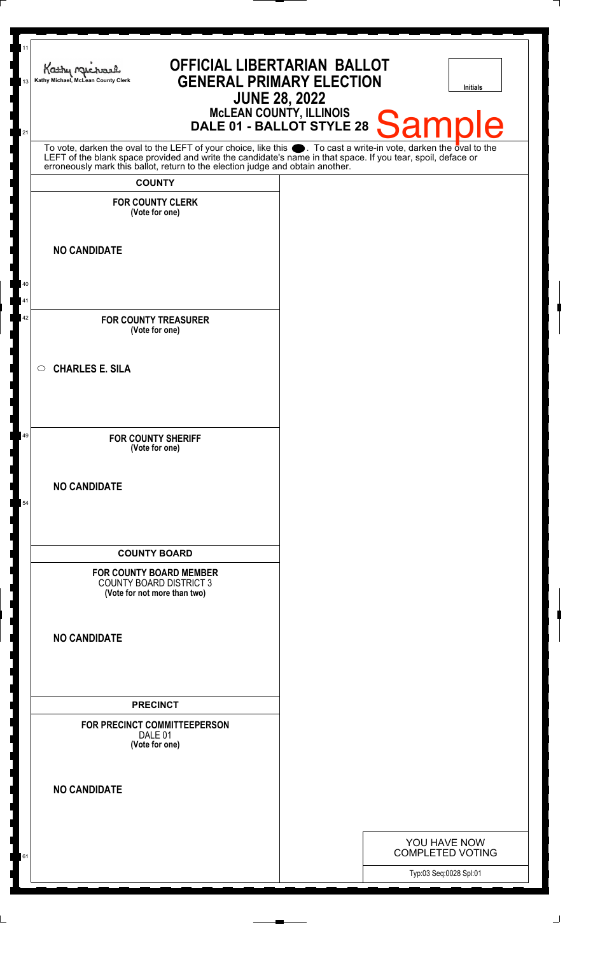| Kathy Me<br>Kathy Michael, McLean County Clerk                                                                                                                                                                                                                                                                                                                     | <b>OFFICIAL LIBERTARIAN BALLOT</b><br><b>GENERAL PRIMARY ELECTION</b><br><b>Initials</b><br><b>JUNE 28, 2022</b><br>McLEAN COUNTY, ILLINOIS<br>DALE 01 - BALLOT STYLE 28<br><b>Sample</b> |
|--------------------------------------------------------------------------------------------------------------------------------------------------------------------------------------------------------------------------------------------------------------------------------------------------------------------------------------------------------------------|-------------------------------------------------------------------------------------------------------------------------------------------------------------------------------------------|
| To vote, darken the oval to the LEFT of your choice, like this $\bullet$ . To cast a write-in vote, darken the oval to the LEFT of the blank space provided and write the candidate's name in that space. If you tear, spoil, deface<br>erroneously mark this ballot, return to the election judge and obtain another.<br><b>COUNTY</b><br><b>FOR COUNTY CLERK</b> |                                                                                                                                                                                           |
| (Vote for one)<br><b>NO CANDIDATE</b>                                                                                                                                                                                                                                                                                                                              |                                                                                                                                                                                           |
| <b>FOR COUNTY TREASURER</b>                                                                                                                                                                                                                                                                                                                                        |                                                                                                                                                                                           |
| (Vote for one)<br><b>CHARLES E. SILA</b><br>$\circ$                                                                                                                                                                                                                                                                                                                |                                                                                                                                                                                           |
| <b>FOR COUNTY SHERIFF</b>                                                                                                                                                                                                                                                                                                                                          |                                                                                                                                                                                           |
| (Vote for one)<br><b>NO CANDIDATE</b>                                                                                                                                                                                                                                                                                                                              |                                                                                                                                                                                           |
| <b>COUNTY BOARD</b><br><b>FOR COUNTY BOARD MEMBER</b>                                                                                                                                                                                                                                                                                                              |                                                                                                                                                                                           |
| <b>COUNTY BOARD DISTRICT 3</b><br>(Vote for not more than two)<br><b>NO CANDIDATE</b>                                                                                                                                                                                                                                                                              |                                                                                                                                                                                           |
|                                                                                                                                                                                                                                                                                                                                                                    |                                                                                                                                                                                           |
| <b>PRECINCT</b><br>FOR PRECINCT COMMITTEEPERSON<br>DALE 01<br>(Vote for one)                                                                                                                                                                                                                                                                                       |                                                                                                                                                                                           |
| <b>NO CANDIDATE</b>                                                                                                                                                                                                                                                                                                                                                |                                                                                                                                                                                           |
|                                                                                                                                                                                                                                                                                                                                                                    | YOU HAVE NOW<br><b>COMPLETED VOTING</b><br>Typ:03 Seq:0028 Spl:01                                                                                                                         |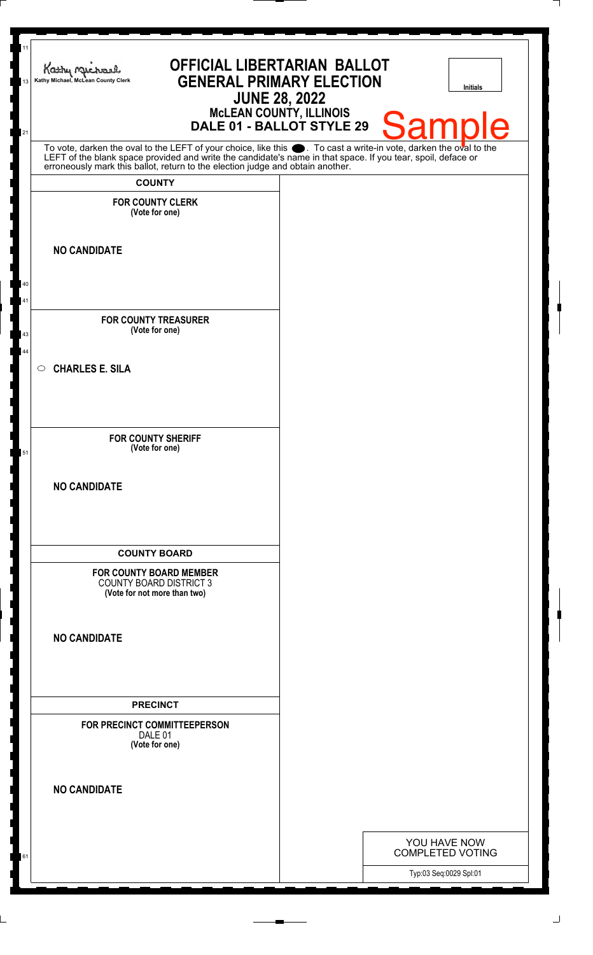| 11<br>13 | <b>OFFICIAL LIBERTARIAN BALLOT</b><br>Kathy Michael<br><b>GENERAL PRIMARY ELECTION</b><br>Kathy Michael, McLean County Clerk<br><b>JUNE 28, 2022</b>                                                                                                                                                                                    |                                                   | <b>Initials</b> |
|----------|-----------------------------------------------------------------------------------------------------------------------------------------------------------------------------------------------------------------------------------------------------------------------------------------------------------------------------------------|---------------------------------------------------|-----------------|
| 21       | McLEAN COUNTY, ILLINOIS<br>DALE 01 - BALLOT STYLE 29                                                                                                                                                                                                                                                                                    | Sample                                            |                 |
|          | To vote, darken the oval to the LEFT of your choice, like this $\bullet$ . To cast a write-in vote, darken the oval to the LEFT of the blank space provided and write the candidate's name in that space. If you tear, spoil, deface<br>erroneously mark this ballot, return to the election judge and obtain another.<br><b>COUNTY</b> |                                                   |                 |
|          | <b>FOR COUNTY CLERK</b>                                                                                                                                                                                                                                                                                                                 |                                                   |                 |
|          | (Vote for one)                                                                                                                                                                                                                                                                                                                          |                                                   |                 |
|          | <b>NO CANDIDATE</b>                                                                                                                                                                                                                                                                                                                     |                                                   |                 |
| 40       |                                                                                                                                                                                                                                                                                                                                         |                                                   |                 |
| 41       | <b>FOR COUNTY TREASURER</b>                                                                                                                                                                                                                                                                                                             |                                                   |                 |
| 43<br>44 | (Vote for one)                                                                                                                                                                                                                                                                                                                          |                                                   |                 |
|          | <b>CHARLES E. SILA</b><br>$\circ$                                                                                                                                                                                                                                                                                                       |                                                   |                 |
|          |                                                                                                                                                                                                                                                                                                                                         |                                                   |                 |
| 51       | <b>FOR COUNTY SHERIFF</b><br>(Vote for one)                                                                                                                                                                                                                                                                                             |                                                   |                 |
|          |                                                                                                                                                                                                                                                                                                                                         |                                                   |                 |
|          | <b>NO CANDIDATE</b>                                                                                                                                                                                                                                                                                                                     |                                                   |                 |
|          |                                                                                                                                                                                                                                                                                                                                         |                                                   |                 |
|          | <b>COUNTY BOARD</b>                                                                                                                                                                                                                                                                                                                     |                                                   |                 |
|          | <b>FOR COUNTY BOARD MEMBER</b><br><b>COUNTY BOARD DISTRICT 3</b><br>(Vote for not more than two)                                                                                                                                                                                                                                        |                                                   |                 |
|          | <b>NO CANDIDATE</b>                                                                                                                                                                                                                                                                                                                     |                                                   |                 |
|          |                                                                                                                                                                                                                                                                                                                                         |                                                   |                 |
|          |                                                                                                                                                                                                                                                                                                                                         |                                                   |                 |
|          | <b>PRECINCT</b><br>FOR PRECINCT COMMITTEEPERSON                                                                                                                                                                                                                                                                                         |                                                   |                 |
|          | DALE 01<br>(Vote for one)                                                                                                                                                                                                                                                                                                               |                                                   |                 |
|          | <b>NO CANDIDATE</b>                                                                                                                                                                                                                                                                                                                     |                                                   |                 |
|          |                                                                                                                                                                                                                                                                                                                                         |                                                   |                 |
|          |                                                                                                                                                                                                                                                                                                                                         | YOU HAVE NOW                                      |                 |
| 61       |                                                                                                                                                                                                                                                                                                                                         | <b>COMPLETED VOTING</b><br>Typ:03 Seq:0029 Spl:01 |                 |
|          |                                                                                                                                                                                                                                                                                                                                         |                                                   |                 |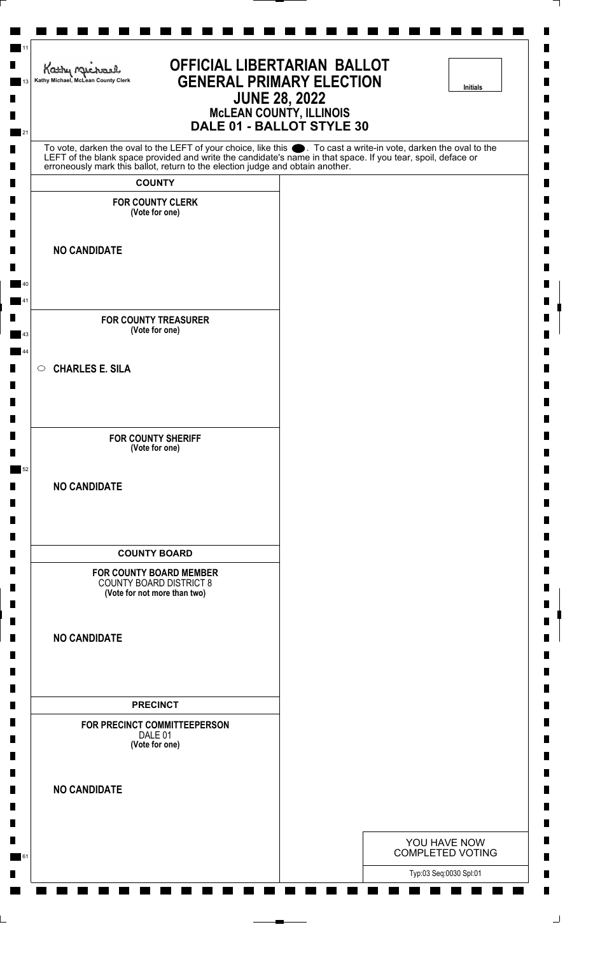| <b>OFFICIAL LIBERTARIAN BALLOT</b><br>Kathy Michael<br><b>GENERAL PRIMARY ELECTION</b><br>Kathy Michael, McLean County Clerk<br><b>JUNE 28, 2022</b><br><b>McLEAN COUNTY, ILLINOIS</b><br>DALE 01 - BALLOT STYLE 30                                                                                                 | <b>Initials</b>                         |
|---------------------------------------------------------------------------------------------------------------------------------------------------------------------------------------------------------------------------------------------------------------------------------------------------------------------|-----------------------------------------|
| To vote, darken the oval to the LEFT of your choice, like this ●. To cast a write-in vote, darken the oval to the<br>LEFT of the blank space provided and write the candidate's name in that space. If you tear, spoil, deface or<br>erroneously mark this ballot, return to the election judge and obtain another. |                                         |
| <b>COUNTY</b>                                                                                                                                                                                                                                                                                                       |                                         |
| <b>FOR COUNTY CLERK</b><br>(Vote for one)                                                                                                                                                                                                                                                                           |                                         |
|                                                                                                                                                                                                                                                                                                                     |                                         |
| <b>NO CANDIDATE</b>                                                                                                                                                                                                                                                                                                 |                                         |
|                                                                                                                                                                                                                                                                                                                     |                                         |
|                                                                                                                                                                                                                                                                                                                     |                                         |
| <b>FOR COUNTY TREASURER</b><br>(Vote for one)                                                                                                                                                                                                                                                                       |                                         |
| $\circ$ CHARLES E. SILA                                                                                                                                                                                                                                                                                             |                                         |
|                                                                                                                                                                                                                                                                                                                     |                                         |
|                                                                                                                                                                                                                                                                                                                     |                                         |
| <b>FOR COUNTY SHERIFF</b>                                                                                                                                                                                                                                                                                           |                                         |
| (Vote for one)                                                                                                                                                                                                                                                                                                      |                                         |
| <b>NO CANDIDATE</b>                                                                                                                                                                                                                                                                                                 |                                         |
|                                                                                                                                                                                                                                                                                                                     |                                         |
|                                                                                                                                                                                                                                                                                                                     |                                         |
| <b>COUNTY BOARD</b><br><b>FOR COUNTY BOARD MEMBER</b>                                                                                                                                                                                                                                                               |                                         |
| <b>COUNTY BOARD DISTRICT 8</b><br>(Vote for not more than two)                                                                                                                                                                                                                                                      |                                         |
|                                                                                                                                                                                                                                                                                                                     |                                         |
| <b>NO CANDIDATE</b>                                                                                                                                                                                                                                                                                                 |                                         |
|                                                                                                                                                                                                                                                                                                                     |                                         |
| <b>PRECINCT</b>                                                                                                                                                                                                                                                                                                     |                                         |
| FOR PRECINCT COMMITTEEPERSON<br>DALE 01                                                                                                                                                                                                                                                                             |                                         |
| (Vote for one)                                                                                                                                                                                                                                                                                                      |                                         |
|                                                                                                                                                                                                                                                                                                                     |                                         |
| <b>NO CANDIDATE</b>                                                                                                                                                                                                                                                                                                 |                                         |
|                                                                                                                                                                                                                                                                                                                     |                                         |
|                                                                                                                                                                                                                                                                                                                     | YOU HAVE NOW<br><b>COMPLETED VOTING</b> |
|                                                                                                                                                                                                                                                                                                                     | Typ:03 Seq:0030 Spl:01                  |

⅂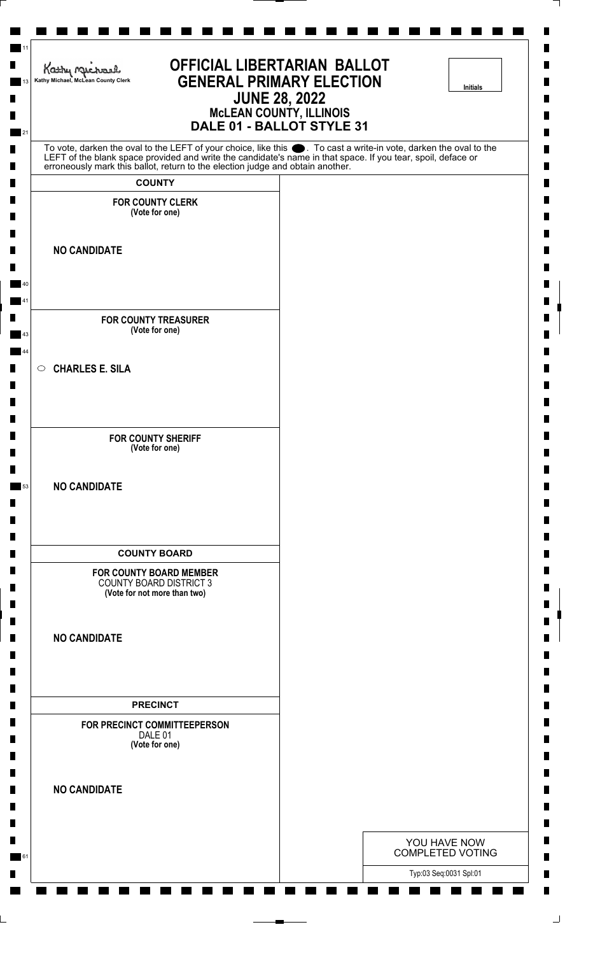| <b>OFFICIAL LIBERTARIAN BALLOT</b><br>Kathy Michael<br><b>GENERAL PRIMARY ELECTION</b><br>Kathy Michael, McLean County Clerk<br><b>JUNE 28, 2022</b><br><b>MCLEAN COUNTY, ILLINOIS</b><br>DALE 01 - BALLOT STYLE 31                                                                                                    | <b>Initials</b>                         |
|------------------------------------------------------------------------------------------------------------------------------------------------------------------------------------------------------------------------------------------------------------------------------------------------------------------------|-----------------------------------------|
| To vote, darken the oval to the LEFT of your choice, like this $\bullet$ . To cast a write-in vote, darken the oval to the LEFT of the blank space provided and write the candidate's name in that space. If you tear, spoil, deface<br>erroneously mark this ballot, return to the election judge and obtain another. |                                         |
| <b>COUNTY</b>                                                                                                                                                                                                                                                                                                          |                                         |
| <b>FOR COUNTY CLERK</b><br>(Vote for one)                                                                                                                                                                                                                                                                              |                                         |
| <b>NO CANDIDATE</b>                                                                                                                                                                                                                                                                                                    |                                         |
|                                                                                                                                                                                                                                                                                                                        |                                         |
| <b>FOR COUNTY TREASURER</b><br>(Vote for one)                                                                                                                                                                                                                                                                          |                                         |
| <b>CHARLES E. SILA</b><br>$\circ$                                                                                                                                                                                                                                                                                      |                                         |
| <b>FOR COUNTY SHERIFF</b><br>(Vote for one)                                                                                                                                                                                                                                                                            |                                         |
| <b>NO CANDIDATE</b>                                                                                                                                                                                                                                                                                                    |                                         |
| <b>COUNTY BOARD</b>                                                                                                                                                                                                                                                                                                    |                                         |
| <b>FOR COUNTY BOARD MEMBER</b><br><b>COUNTY BOARD DISTRICT 3</b><br>(Vote for not more than two)                                                                                                                                                                                                                       |                                         |
| <b>NO CANDIDATE</b>                                                                                                                                                                                                                                                                                                    |                                         |
| <b>PRECINCT</b>                                                                                                                                                                                                                                                                                                        |                                         |
| FOR PRECINCT COMMITTEEPERSON<br>DALE 01<br>(Vote for one)                                                                                                                                                                                                                                                              |                                         |
| <b>NO CANDIDATE</b>                                                                                                                                                                                                                                                                                                    |                                         |
|                                                                                                                                                                                                                                                                                                                        | YOU HAVE NOW<br><b>COMPLETED VOTING</b> |
|                                                                                                                                                                                                                                                                                                                        | Typ:03 Seq:0031 Spl:01                  |

⅂